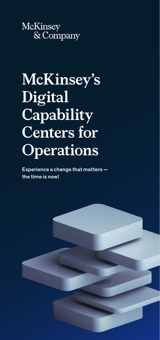McKinsey  $\overline{\&}$  Company

# **McKinsey's Digital Capability Centers for Operations**

Experience a change that matters the time is now!

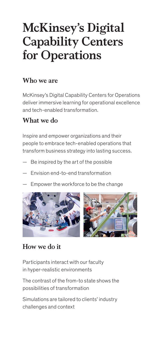## **McKinsey's Digital Capability Centers for Operations**

#### **Who we are**

McKinsey's Digital Capability Centers for Operations deliver immersive learning for operational excellence and tech-enabled transformation.

#### **What we do**

Inspire and empower organizations and their people to embrace tech-enabled operations that transform business strategy into lasting success.

- Be inspired by the art of the possible
- Envision end-to-end transformation
- Empower the workforce to be the change



#### **How we do it**

Participants interact with our faculty in hyper-realistic environments

The contrast of the from-to state shows the possibilities of transformation

Simulations are tailored to clients' industry challenges and context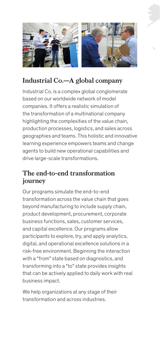

## **Industrial Co.—A global company**

Industrial Co. is a complex global conglomerate based on our worldwide network of model companies. It offers a realistic simulation of the transformation of a multinational company highlighting the complexities of the value chain, production processes, logistics, and sales across geographies and teams. This holistic and innovative learning experience empowers teams and change agents to build new operational capabilities and drive large-scale transformations.

#### **The end-to-end transformation journey**

Our programs simulate the end-to-end transformation across the value chain that goes beyond manufacturing to include supply chain, product development, procurement, corporate business functions, sales, customer services, and capital excellence. Our programs allow participants to explore, try, and apply analytics, digital, and operational excellence solutions in a risk-free environment. Beginning the interaction with a "from" state based on diagnostics, and transforming into a "to" state provides insights that can be actively applied to daily work with real business impact.

We help organizations at any stage of their transformation and across industries.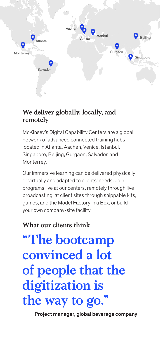

#### **We deliver globally, locally, and remotely**

McKinsey's Digital Capability Centers are a global network of advanced connected training hubs located in Atlanta, Aachen, Venice, Istanbul, Singapore, Beijing, Gurgaon, Salvador, and Monterrey.

Our immersive learning can be delivered physically or virtually and adapted to clients' needs. Join programs live at our centers, remotely through live broadcasting, at client sites through shippable kits, games, and the Model Factory in a Box, or build your own company-site facility.

## **What our clients think**

**"The bootcamp convinced a lot of people that the digitization is the way to go."**

Project manager, global beverage company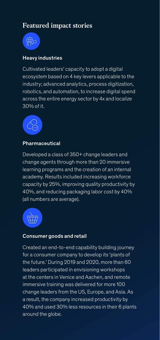## **Featured impact stories**



#### Heavy industries

Cultivated leaders' capacity to adopt a digital ecosystem based on 4 key levers applicable to the industry; advanced analytics, process digitization, robotics, and automation, to increase digital spend across the entire energy sector by 4x and localize  $30\%$  of it.



#### **Pharmaceutical**

Developed a class of 350+ change leaders and change agents through more than 20 immersive learning programs and the creation of an internal academy. Results included increasing workforce capacity by 25%, improving quality productivity by 40%, and reducing packaging labor cost by 40% (all numbers are average).



#### Consumer goods and retail

Created an end-to-end capability building journey for a consumer company to develop its 'plants of the future.' During 2019 and 2020, more than 60 leaders participated in envisioning workshops at the centers in Venice and Aachen, and remote immersive training was delivered for more 100 change leaders from the US, Europe, and Asia. As a result, the company increased productivity by 40% and used 30% less resources in their 6 plants around the globe.